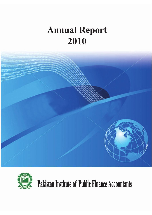# **Annual Report** 2010





**Pakistan Institute of Public Finance Accountants**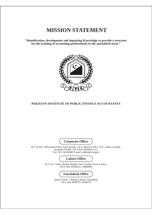# **MISSION STATEMENT**

**"Identification, development and imparting Knowledge to provide a structure for the training of accounting professionals in the specialized areas."**



### **PAKISTAN INSTITUTE OF PUBLIC FINANCE ACCOUNTANTS**

M-1 & M-2, Mezzanine Floor, Park Avenue, 24-A, Block 6, P.E.C.H.S., Shara-e-Faisal, Karachi 075400. Tel: # 021-34380451-52 Fax: 021-34326588 E-mail: ed@pipfa.org.pk 42-Civic Centre, Barkat Market, New Garden Town, Lahore. Tel #: 042-35838111, 35866896 Ajmal Center 1, Batala Colony, Faisalabad. Tel #: 041-8500791, 8530110 **Faisalabad Office Lahore Office Corporate Office**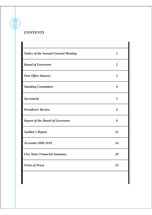# *CONTENTS*

| Notice of the Annual General Meeting | $\overline{I}$    |
|--------------------------------------|-------------------|
| <b>Board of Governors</b>            | $\mathscr{Z}$     |
| <b>Past Office Bearers</b>           | $\mathcal{J}$     |
| <b>Standing Committees</b>           | 4                 |
| Secretariat                          | $\mathcal{F}_{0}$ |
| President's Review                   | 6                 |
| Report of the Board of Governors     | 8                 |
| <b>Auditor's Report</b>              | 12                |
| Accounts 2009-2010                   | 14                |
| <b>Five Years Financial Summary</b>  | 29                |
| <b>Form of Proxy</b>                 | 33                |
|                                      |                   |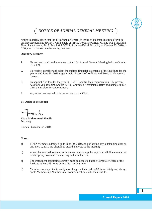*NOTICE OF ANNUAL GENERAL MEETING*

Notice is hereby given that the 17th Annual General Meeting of Pakistan Institute of Public Finance Accountants (PIPFA) will be held at PIPFA Corporate Office, M1 and M2, Mezzanine Floor, Park Avenue, 24-A, Block 6, PECHS, Shahra-e-Faisal, Karachi, on October 23, 2010 at 3:00 p.m. to transact the following business.

#### **Ordinary Business**

- 1. To read and confirm the minutes of the 16th Annual General Meeting held on October 31, 2009.
- 2. To receive, consider and adopt the audited financial statements of the Insititute for the year ended June 30, 2010 together with Reports of Auditors and Board of Governors thereon.
- 3. To appoint Auditors for the year 2010-2011 and fix their remuneration. The present Auditors M/s. Ibrahim, Shaikh & Co., Chartered Accountants retire and being eligible, offer themselves for appointment.
- 4. Any other business with the permission of the Chair.

#### **By Order of the Board**

**Mian Muhammad Shoaib** Secretary

Karachi: October 02, 2010

#### **Notes:**

- a) PIPFA Members admitted up to June 30, 2010 and not having any outstanding dues as on June 30, 2010 are eligible to attend and vote at the meeting.
- b) A member entitled to attend at this meeting may appoint any other eligible member as his/her proxy to attend the meeting and vote therein.
- c) The instrument appointing a proxy must be deposited at the Corporate Office of the Institute at least 48 hours before the meeting time.
- d) Members are requested to notify any change in their address(s) immediately and always quote Membership Number in all communications with the institute.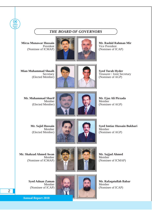# *THE BOARD OF GOVERNORS*

**Mirza Munawar Hussain** President (Nominee of ICMAP)

**Annual Report 2010**



**Mr. Rashid Rahman Mir** Vice President (Nominee of ICAP)

**Mian Muhammad Shoaib** Secretary (Elected Member)



**Syed Turab Hyder** Treasurer / Joint Secretary (Nominee of AGP)

**Mr. Muhammad Sharif** Member (Elected Member)



**Mr. Ejaz Ali Pirzada** Member (Nominee of AGP)

**Mr. Sajid Hussain** Member (Elected Member)





**Syed Imtiaz Hussain Bukhari** Member (Nominee of AGP)

**Mr. Shahzad Ahmed Awan** Member (Nominee of ICMAP)



**Mr. Sajjad Ahmed** Member (Nominee of ICMAP)

**Syed Adnan Zaman** Member (Nominee of ICAP)



**Mr. Rafaqatullah Babar** Member (Nominee of ICAP)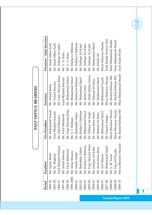| CHILE           |  |
|-----------------|--|
|                 |  |
|                 |  |
|                 |  |
| $\overline{BR}$ |  |
| OFFICE          |  |
|                 |  |
|                 |  |
|                 |  |
|                 |  |
|                 |  |
|                 |  |
| ∎<br>גע         |  |
| DA CH           |  |
|                 |  |
|                 |  |
|                 |  |

| Period    | President              | Vice President         | Secretary              | Treasurer / Joint Secretary |
|-----------|------------------------|------------------------|------------------------|-----------------------------|
| 1994-95   | Mr. Qaisar Mufti       | Mr. Mohammad Yousaf    | Mr. Khalid Rafiq       | Mr. Jamal Abbas Zaidi       |
| 1995-96   | Mr. M. Maqbool         | Syed Mujahid Hussain   | Mr. Ashraf Bawany      | Mr. Jamal Abbas Zaidi       |
| 1996-97   | Syed Mujahid Hussain   | Mr. Ashraf Bawany      | Mr. Faqir Hussain Khan | Mr. Zulfiqar Ali Qadri      |
| 1997-98   | Mr. Ashraf Bawany      | Mr. Fazal Mehmood      | Syed Mujahid Hussain   | Mr. U. A. Raza              |
| 1998-99   | Mr. Fazal Mehmood      | Mr. Faqir Hussain Khan | Mr. Mohammad Ashraf    | Mr. U. A. Raza              |
| 1999-2000 | Mr. Azhar Hussain      | Mr. S. T. Rehman       | Mr. Mohammad Ashraf    | Mr. Khaliq Ur Rehman        |
| 2000-01   | Mr. Sohail Safdar      | Mr. Badruddin Fakhri   | Mr. Khaliq Ur Rehman   | Mr. Khaliq Ur Rehman        |
| 2001-02   | Mr. Badruddin Fakhri   | Mr. Khaliq Ur Rehman   | Mr. Muhammad Sharif    | Mr. Zulfiqar Ali Kadri      |
| 2002-03   | Mr. Khaliq Ur Rehman   | Mr. Muhammad Sharif    | Mr. Abdul Sattar       | Mr. Zulfiqar Ali Kadri      |
| 2003-04   | Mr. Faqir Hussain Khan | Mr. Zulfiqar Ali Kadri | Mr. Abdul Rehim Suriya | Mr. Zulfiqar Ali Kadri      |
| 2004-05   | Mr. Zulfiqar Ali Kadri | Mr. Azam Khan Shad     | Mr. Hidayat Ali Khan   | Mr. Mohammad Sharif         |
| 2005-06   | Mr. Azam Khan Shad     | Mr. Hidayat Ali Khan   | Mr. Mohammad Sharif    | Mr. Khalid Ali              |
| 2006-07   | Mr. Arif Mansur        | Mr. Mohammad Sharif    | Mr.Mohammad Junaid     | Mirza Munawar Husain        |
| 2007-08   | Mr. Mohammad Sharif    | Mr. Sameen Ashgar      | Mirza Munawar Husain   | Syed Shahid Hussain Jafri   |
| 2008-09   | Mr. S. M. Awais        | Mirza Munawar Husain   | Mr. Rashid Rahman Mir  | Mian Muhammad Shoaib        |
| 2008-09   | Mr. Ejaz Ali Pirzada   | Mirza Munawar Husain   | Mr. Rashid Rahman Mir  | Mian Muhammad Shoaib        |
| 2009-10   | Mirza Munawar Hussain  | Mr. Rashid Rahman Mir  | Mian Muhammad Shoaib   | Syed Turab Hyder            |
|           |                        |                        |                        |                             |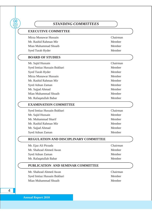| STANDING COMMITTEES                   |          |
|---------------------------------------|----------|
| <b>EXECUTIVE COMMITTEE</b>            |          |
| Mirza Munawar Hussain                 | Chairman |
| Mr. Rashid Rahman Mir                 | Member   |
| Mian Muhammad Shoaib                  | Member   |
| Syed Turab Hyder                      | Member   |
| <b>BOARD OF STUDIES</b>               |          |
| Mr. Sajid Hussain                     | Chairman |
| Syed Imtiaz Hussain Bukhari           | Member   |
| Syed Turab Hyder                      | Member   |
| Mirza Munawar Hussain                 | Member   |
| Mr. Rashid Rahman Mir                 | Member   |
| Syed Adnan Zaman                      | Member   |
| Mr. Sajjad Ahmad                      | Member   |
| Mian Muhammad Shoaib                  | Member   |
| Mr. Rafaqatullah Babar                | Member   |
| <b>EXAMINATION COMMITTEE</b>          |          |
| Syed Imtiaz Hussain Bukhari           | Chairman |
| Mr. Sajid Hussain                     | Member   |
| Mr. Muhammad Sharif                   | Member   |
| Mr. Rashid Rahman Mir                 | Member   |
| Mr. Sajjad Ahmad                      | Member   |
| Syed Adnan Zaman                      | Member   |
| REGULATION AND DISCIPLINARY COMMITTEE |          |
| Mr. Ejaz Ali Pirzada                  | Chairman |
| Mr. Shahzad Ahmed Awan                | Member   |
| Syed Adnan Zaman                      | Member   |
| Mr. Rafaqatullah Babar                | Member   |
| PUBLICATION AND SEMINAR COMMITTEE     |          |
| Mr. Shahzad Ahmed Awan                | Chairman |
| Syed Imtiaz Hussain Bukhari           | Member   |
| Mian Muhammad Shoaib                  | Member   |
|                                       |          |

**Annual Report 2010**

4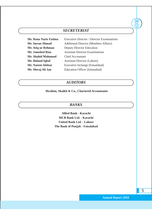# *SECRETERIAT*

**Mr. Shahid Mahmood** Chief Accountant

**Ms. Rana Nazir Fatima** Executive Director / Director Examinations **Mr. Imran Ahmad** Additional Director (Members Affairs) **Mr. Atiq ur Rehman** Deputy Director Education **Mr. Jamshed Riaz** Assistant Director Examinations **Mr. Buland Iqbal Assistant Director (Lahore) Mr. Naeem Akhtar** Executive Incharge (Faisalabad) **Mr. Meraj Ali Jan** Education Officer (Islamabad)

*AUDITORS*

### **Ibrahim, Shaikh & Co., Chartered Accountants**

*BANKS*

**Allied Bank - Karachi MCB Bank Ltd. - Karachi United Bank Ltd. - Lahore The Bank of Punjab - Faisalabad** **Annual Report 2010**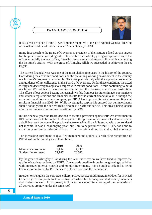*PRESIDENT'S REVIEW*



It is a great privilege for me to welcome the members to the 17th Annual General Meeting of Pakistan Institute of Public Finance Accountants (PIPFA).

In my first speech to the Board of Governor as President of the Institute I fixed certain targets for the year to come, including rule of law within the Institute, giving a corporate look to the offices especially the head office, financial transparency and responsibility while conducting the Institute's affairs. With the grace of Almighty Allah we succeeded in achieving the set targets.

The current financial year was one of the most challenging years in the history of the country. Considering the economic conditions and the prevailing working environment in the country our Institute's progress is remarkable. This was possible only with the support, co-operation and guidance of my colleagues in the Board of Governors. Under these conditions we acted swiftly and decisively to adjust our targets with market conditions – while continuing to build our future. We did this to make sure we emerge from the recession as a stronger Institution. The effects of our actions became increasingly visible from our Institute's image, our members and students registrations and financial results for the current financial year. Although the economic conditions are very complex, yet PIPFA has improved its cash-flows and financial results in financial year 2009–10. While investing the surplus it is ensured that our investments should not only earn the due return but also must be safe and secure. This area is being looked after by a competent committee constituted by BOG.

In this financial year the Board decided to create a provision against PIPFA's investment in IIBL which seems to be doubtful. As a result of this provision our financial statements show a declining result but you will appreciate that we remained financially strong with a consolidated net income. It was a challenging year, but I am very proud of what PIPFA has done to effectively minimize adverse effects of the uncertain domestic and global economy.

The increasing enrolment of qualified members and students is reflecting recognition of PIPFA within the country as well as abroad.

|                      | 2010   | 2009   |
|----------------------|--------|--------|
| Members' enrollment  | 5,012  | 4.717  |
| Students' enrollment | 22,867 | 20,572 |

By the grace of Almighty Allah during the year under review we have tried to improve the quality of services rendered by PIPFA. It was made possible through strengthening credibility with improved internal controls and monitoring systems. It is an endless task and is being taken as commitment by PIPFA Board of Governors and the Secretariat.

In order to strengthen the corporate culture, PIPFA has acquired Mezzanine Floor for its Head Office to give a corporate look to the Institute which has been appreciated both by members and students as well. It has greatly facilitated the smooth functioning of the secretariat as all activities are now under the same roof.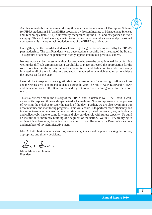Another remarkable achievement during this year is announcement of Exemption Scheme for PIPFA students in BBA and MBA programs by Preston Institute of Management Sciences and Technology (PIMSAT), a university recognized by the HEC and categorized in "W" category. This will enable our graduates to further increase their educational and professional competency. It is another acknowledgement of the PIPFA qualification.

During this year the Board decided to acknowledge the great services rendered by the PIPFA's past leadership. The past Presidents were decorated in a specially held meeting of the Board. This gesture of acknowledgement was highly appreciated by our previous leaders.

No institution can be successful without its people who are to be complimented for performing well under difficult circumstances. I would like to place on record the appreciation for the role of our team in the secretariat and its commitment and dedication to work. I am really indebted to all of them for the help and support tendered to us which enabled us to achieve the targets set for the year.

I would like to express sincere gratitude to our stakeholders for reposing confidence in us and their consistent support and guidance during the year. The role of AGP, ICAP and ICMAP and their nominees to the Board remained a great source of encouragement for the whole team.

This is a critical time in the history of the PIPFA, and Pakistan as well. The Board is wellaware of its responsibilities and capable to discharge those. Now-a-days we are in the process of revising the syllabus to cater the needs of the day. Further, we are also revamping our accountability and monitoring programs. This will enable us to perform more efficiently and in a more transparent manner. In order to bring the country out of the crunch, we, individually and collectively, have to come forward and play our due role with fullest capacity. To build an institution is indirectly building of a segment of the nation. We in PIPFA are trying to achieve this noble cause, for which I am indebted to my colleagues in the Board of Governors and members of my administrative team.

May ALLAH bestow upon us his forgiveness and guidance and help us in making the correct, appropriate and timely decisions.

 $2, 3$ 

Mirza Munawar Hussain President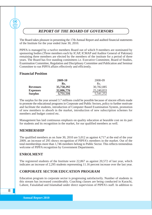# *REPORT OF THE BOARD OF GOVERNORS*

The Board takes pleasure in presenting the 17th Annual Report and audited financial statements of the Institute for the year ended June 30, 2010.

PIPFA is managed by a twelve members Board out of which 9 members are nominated by sponsoring bodies (Three members each by ICAP, ICMAP and Auditor General of Pakistan) remaining three members are elected by the members of the institute for a period of three years. The Board has five standing committees i.e. Executive Committee, Board of Studies, Examination Committee, Regulation and Disciplinary Committee and Publication and Seminar Committee to run PIPFA affairs effectively and efficiently.

# **Financial Position**

**Annual Report 2010**

|                 | 2009-10    | 2008-09    |
|-----------------|------------|------------|
|                 | Rs.        | Rs.        |
| <b>Revenues</b> | 35,758,292 | 30,782,085 |
| <b>Expenses</b> | 32,006,776 | 25,240,833 |
| <b>Surplus</b>  | 3,751,516  | 5,541,252  |

The surplus for the year around 3.7 millions could be possible because of sincere efforts made to promote the educational programs in Corporate and Public Sectors, policy to further motivate and facilitate the students, introduction of Computer Based Examination System, promotion of new members to absorb in the market, introduction of new subscription schemes for members and budget control etc.

Management has laid continuous emphasis on quality education at bearable cost on its part for students and its recognition in the market, for our qualified members as well.

# **MEMBERSHIP**

The qualified members as on June 30, 2010 are 5,012 as against 4,717 at the end of the year 2009, an increase of 295 shows recognition of PIPFA's members in the market. Out of the total memberships more than 1,746 members belong to Public Sector. This reflects tremendous welcome of PIPFA recognition by Government Departments.

# **ENROLMENT**

The registered students of the Institute were 22,867 as against 20,572 of last year, which indicates an increase of 2,295 students representing 11.16 percent increase over the last year.

# **CORPORATE SECTOR EDUCATION PROGRAM**

Education program in corporate sector is progressing satisfactorily. Number of students in this stream has increased considerably. Coaching classes are being conducted in Karachi, Lahore, Faisalabad and Islamabad under direct supervision of PIPFA's staff. In addition to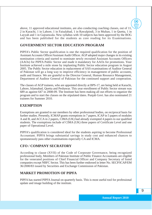above, 11 approved educational institutes, are also conducting coaching classes, out of 11, 2 in Karachi, 1 in Lahore, 1 in Faisalabad, 1 in Rawalpindi, 3 in Multan, 1 in Quetta, 1 in Layyah and 1 in Gujranwala. New syllabus with 10 subjects has been approved by the BOG and has been published for the students as core reading for its Examinations.

# **GOVERNMENT SECTOR EDUCATION PROGRAM**

PIPFA's Public Sector qualification is one the required qualification for the position of Assistant Accounts Officer/Assistant Audit Officer. AGP adopted major changes in its existing nomination criteria and started to nominate newly recruited Assistant Accounts Officers (AAOs) for PIPFA Public Sector and made it mandatory for AAOs for promotions. Your Institute achieved a mile stone by implanting Public Sector education program in August 2005. The Public Sector education in replacement of SAS examinations of Auditor General of Pakistan will go a long way to improve efficiency in management of public accounts, audit and finance. We are grateful to the Director General, Human Resource Management, Department of Auditor General of Pakistan for the continued support and cooperation.

The classes of AGP trainees, who are appointed directly at BPS-17, are being held at Karachi, Lahore, Islamabad, Quetta and Peshawar. This year enrollment of Public Sector stream was 689 as against 647 in 2008-09. The Institute has been making all out efforts to organize the program and to start the classes on the stipulated dates. Punjab Govt. has also nominated 21 trainees for Summer 2010.

### **EXEMPTION**

Exemptions are granted to our members by other professional bodies, on reciprocal basis for further studies. Presently, ICMAP grants exemptions in 7 papers, ICAP in 5 papers of modules A and B, and ACCA in 2 papers, CIMA (UK) had already exempted 4 papers to our qualified students. The exemptions include of CIMA (UK) three papers of Certificate Level and one paper of Operational Level.

PIPFA's qualification is considered ideal for the students aspiring to become Professional Accountant. PIPFA brings substantial savings in study cost and enhanced chances to spontaneously pass other examinations especially CA and ICMA.

# **CFO / COMPANY SECRATORY**

According to clause (XVII) of the Code of Corporate Governance, being recognized professional body, Members of Pakistan Institute of Public Finance Accountants are eligible for the venerated positions of Chief Financial Officer and Company Secretary of listed companies except NBFC Sector. This has been further endorsed in letter No. SECP/ICAP/EM 36/2000/83 issued by Securities and Exchange Commission of Pakistan.

# **MARKET PROMOTION OF PIPFA**

PIPFA has started PIPFA Journal on quarterly basis. This is most useful tool for professional update and image building of the institute.

**Annual Report 2010**

 $\begin{pmatrix} 0 \end{pmatrix}$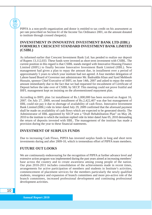PIPFA is a non-profit organization and donor is entitled to tax credit on his assessment as per rate prescribed on Section 61 of the Income Tax Ordinance 2001, on the amount donated to institute through crossed cheque(s).

# **INVENSTMENT IN INNOVATIVE INVESTMENT BANK LTD (IIBL) FORMERLY CRESCENT STANDARD INVESTMENT BANK LIMITED (CSIBL)**

As informed earlier that Crescent Investment Bank Ltd. has pended to realize our deposit of Rupees 13,112,033. These funds were invested as short term investment with CSIBL. The current position in this regard is that CSIBL stands merged with Innovative Housing Finance Limited (IHFL) to finally become Innovative Investment Bank Limited (IIBL). New management had given a plan to repay the amount due, in installment over a period of approximately 5 years to which your institute had not agreed. A four member delegation of Lahore based Board of Governor met administrator Mr. Badruddin Khan and Syed Mehboob Hussain, sponsor Chief Executive of IHFL on June 14th, 2007 and asked to repay the entire amount immediately due to the fact that we had requested for encashment of Certificate of Deposit before the take over of CSIBL by SECP. This meeting could not prove fruitful and IHFL management kept on insisting on the aforementioned repayment plan.

According to IHFL plan 1st installment of Rs.1,000,000 has been received on August 16, 2007. On July 27, 2009, second installment of Rs.2,422,407 was due but management of IIBL could not pay it due to shortage of availability of cash flows. Innovative Investment Bank Limited (IIBL) vide its letter dated July 29, 2009 confirmed that the aforesaid payment shall be made on availability of cash flows which are expected to be generated shortly. The Administrator of IIBL appointed by SECP sent a "Draft Rehabilitation Plan" on May 28, 2010 to the institute to which the institute replied vide its letter dated June 05, 2010 demanding the return of deposits invested with IIBL. The management of the institute has made a provision during the year to these financial statements.

# **INVESTMENT OF SURPLUS FUNDS**

Due to increasing Cash Flows, PIPFA has invested surplus funds in long and short term investments during and after 2009-10, which is tremendous effort of PIPFA team members.

# **FUTURE OUT LOOKS**

We are continuously endeavouring for the recognition of PIPFA at further advance level and extensive action program was implemented during the past years aimed at increasing members' base across the country and to create awareness among young people of the nation. Our plan 2010-2011 includes consolidation of the achievements made in recent times, arrangements for active participation of members and students in Institute's activities, commencement of placement services for the members particularly the newly qualified students, resurgence and expansion of branch committees and more pro-active role of the branch committees, increased professional development and continuing professional development activities.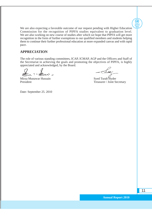We are also expecting a favorable outcome of our request pending with Higher Education Commission for the recognition of PIPFA studies equivalent to graduation level. We are also working on new course of studies after which we hope that PIPFA will get more recognition in the form of further exemptions to our qualified members and students helping them to continue their further professional education at more expanded canvas and with rapid pace.

# **APPRECIATION**

The role of various standing committees, ICAP, ICMAP, AGP and the Officers and Staff of the Secretariat in achieving the goals and promoting the objectives of PIPFA, is highly appreciated and acknowledged, by the Board.

 $\sim -\Delta$ 

Mirza Munawar Hussain<br>President Syed Turab Hyder<br>President Treasurer / Joint Se

Treasurer / Joint Secretary

**Annual Report 2010**

Date: September 25. 2010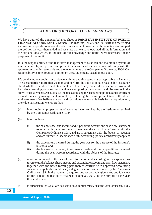# *AUDITOR'S REPORT TO THE MEMBERS*

We have audited the annexed balance sheet of **PAKISTAN INSTITUTE OF PUBLIC FINANCE ACCOUNTANTS,** Karachi (the Institute), as at June 30, 2010 and the related income and expenditure account, cash flow statement, together with the notes forming part thereof, for the year then ended and we state that we have obtained all the information and the explanations which, to the best of our knowledge and belief, were necessary for the purposes of our audit.

It is the responsibility of the Institute's management to establish and maintain a system of internal controls, and prepare and present the above said statements in conformity with the approved accounting standards and the requirements of the Companies Ordinance, 1984. Our responsibility is to express an opinion on these statements based on our audit.

We conducted our audit in accordance with the auditing standards as applicable in Pakistan. These standards require that we plan and perform the audit to obtain reasonable assurance about whether the above said statements are free of any material misstatement. An audit includes examining, on a test basis, evidence supporting the amounts and disclosures in the above said statements. An audit also includes assessing the accounting policies and significant estimates made by management, as well as, evaluating the overall presentation of the above said statements. We believe that our audit provides a reasonable basis for our opinion and, after due verification, we report that:

- (a) in our opinion, proper books of accounts have been kept by the Institute as required by the Companies Ordinance, 1984;
- (b) in our opinion:

- i) the balance sheet and income and expenditure account and cash flow statement together with the notes thereon have been drawn up in conformity with the Companies Ordinance, 1984, and are in agreement with the books of account and are further in accordance with accounting policies consistently applied;
- ii) the expenditure incurred during the year was for the purpose of the Institute's business; and
- iii) the business conducted, investments made and the expenditure incurred during the year were in accordance with the objects of the Institute;
- (c) in our opinion and to the best of our information and according to the explanations given to us, the balance sheet, income and expenditure account and cash flow statement, together with the notes forming part thereof confirm with approved accounting standards as applicable in Pakistan, and, give the information required by the Companies Ordinance, 1984 in the manner so required and respectively give a true and fair view of the state of the Institute's affairs as at June 30, 2010 and the Surplus for the year then ended; and
- (d) in our opinion, no Zakat was deductible at source under the Zakat and Ushr Ordinance, 1980.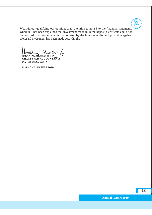We, without qualifying our opinion, draw attention to note 8 to the financial statements wherein it has been explained that investment made in Term Deposit Certificate could not be realized in accordance with plan offered by the investee entity and provision against aforesaid investment has been made accordingly.

 $\int_{IBRAHIM, SHAIKH}$ 

CHARTERED ACCOUNTANTS MUHAMMAD AMIN

**KARACHI: 25 SEPT 2010**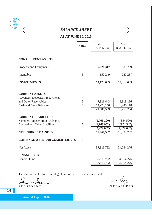| <b>AS AT JUNE 30, 2010</b><br>2010<br><b>Notes</b><br><b>RUPEES</b><br>6,828,317<br>152,249<br>13,174,689<br>$\overline{4}$ | 2009<br><b>RUPEES</b><br>5,685,799<br>227,237<br>14,212,033 |
|-----------------------------------------------------------------------------------------------------------------------------|-------------------------------------------------------------|
|                                                                                                                             |                                                             |
|                                                                                                                             |                                                             |
|                                                                                                                             |                                                             |
|                                                                                                                             |                                                             |
|                                                                                                                             |                                                             |
|                                                                                                                             |                                                             |
| 7,316,443<br>5<br>13,273,156<br>20,589,599                                                                                  | 8,819,136<br>6,449,118<br>15,268,254                        |
| (1,765,100)<br>(1,163,962)<br>(2,929,062)<br>17,660,537                                                                     | (354, 500)<br>(974, 547)<br>(1,329,047)<br>13,939,207       |
|                                                                                                                             |                                                             |
| 37,815,792                                                                                                                  | 34,064,276                                                  |
|                                                                                                                             | 34,064,276                                                  |
| $\overline{7}$<br>8                                                                                                         | 9<br>37,815,792<br>37,815,792                               |

The annexed notes form an integral part of these financial statements.

 $\frac{1}{2}$  =  $\lambda$ É

PRESIDENT TREASURER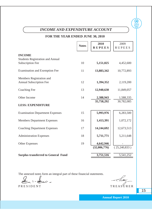| INCOME AND EXPENDITURE ACCOUNT             |              |                       |                       |  |  |  |
|--------------------------------------------|--------------|-----------------------|-----------------------|--|--|--|
| FOR THE YEAR ENDED JUNE 30, 2010           |              |                       |                       |  |  |  |
|                                            | <b>Notes</b> | 2010<br><b>RUPEES</b> | 2009<br><b>RUPEES</b> |  |  |  |
| <b>INCOME</b>                              |              |                       |                       |  |  |  |
| <b>Students Registration and Annual</b>    |              |                       |                       |  |  |  |
| <b>Subscription Fee</b>                    | 10           | 5,151,025             | 4,452,600             |  |  |  |
| <b>Examination and Exemption Fee</b>       | 11           | 13,883,342            | 10,772,893            |  |  |  |
| Members Registration and                   |              |                       |                       |  |  |  |
| <b>Annual Subscription Fee</b>             | 12           | 1,394,352             | 2,119,200             |  |  |  |
| <b>Coaching Fee</b>                        | 13           | 12,940,630            | 11,849,057            |  |  |  |
| Other Income                               | 14           | 2,388,943             | 1,588,335             |  |  |  |
|                                            |              | 35,758,292            | 30,782,085            |  |  |  |
| <b>LESS: EXPENDITURE</b>                   |              |                       |                       |  |  |  |
| <b>Examination Department Expenses</b>     | 15           | 5,993,976             | 6,283,500             |  |  |  |
| <b>Members Department Expenses</b>         | 16           | 1,413,391             | 1,072,172             |  |  |  |
| <b>Coaching Department Expenses</b>        | 17           | 14,244,692            | 12,673,513            |  |  |  |
| <b>Administration Expenses</b>             | 18           | 5,711,771             | 5,211,648             |  |  |  |
| <b>Other Expenses</b>                      | 19           | 4,642,946             |                       |  |  |  |
|                                            |              | (32,006,776)          | (25,240,833)          |  |  |  |
| <b>Surplus transferred to General Fund</b> |              | 3,751,516             | 5,541,252             |  |  |  |

The annexed notes form an integral part of these financial statements.<br> $\sum_{n=1}^{\infty}$ 

PRESIDENT TREASURER

15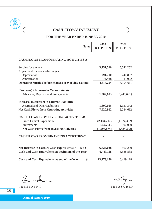# *CASH FLOW STATEMENT*

# **FOR THE YEAR ENDED JUNE 30, 2010**

|                                                                                                                                     | <b>Notes</b> | 2010          | 2009          |
|-------------------------------------------------------------------------------------------------------------------------------------|--------------|---------------|---------------|
|                                                                                                                                     |              | <b>RUPEES</b> | <b>RUPEES</b> |
| <b>CASH FLOWS FROM OPERATING ACTIVITIES-A</b>                                                                                       |              |               |               |
| Surplus for the year                                                                                                                |              | 3,751,516     | 5,541,252     |
| Adjustment for non cash charges:                                                                                                    |              |               |               |
| Depreciation                                                                                                                        |              | 991,700       | 740,837       |
| Amortization                                                                                                                        |              | 74,988        | 111,922       |
| <b>Operating Surplus before changes in Working Capital</b>                                                                          |              | 4,818,204     | 6,394,011     |
| (Decrease) / Increase in Current Assets<br>Advances, Deposits and Prepayments<br><b>Increase/ (Decrease) in Current Liabilities</b> |              | 1,502,693     | (5,240,691)   |
| <b>Accrued and Other Liabilities</b>                                                                                                |              | 1,600,015     | 1,131,342     |
| <b>Net Cash Flows from Operating Activities</b>                                                                                     |              | 7,920,912     | 2,284,662     |
| <b>CASH FLOWS FROM INVESTING ACTIVITIES-B</b>                                                                                       |              |               |               |
| <b>Fixed Capital Expenditure</b>                                                                                                    |              | (2, 134, 217) | (1,924,382)   |
| Investments                                                                                                                         |              | 1,037,343     | 500,000       |
| <b>Net Cash Flows from Investing Activities</b>                                                                                     |              | (1,096,874)   | (1,424,382)   |
| <b>CASH FLOWS FROM FINANCING ACTIVITIES-C</b>                                                                                       |              |               |               |
|                                                                                                                                     |              |               |               |
| Net Increase in Cash & Cash Equivalents $(A + B + C)$                                                                               |              | 6,824,038     | 860,280       |
| Cash and Cash Equivalents at beginning of the Year                                                                                  |              | 6,449,118     | 5,588,838     |
|                                                                                                                                     |              |               |               |
| Cash and Cash Equivalents at end of the Year                                                                                        | 6            | 13,273,156    | 6,449,118     |

Linder-

PRESIDENT TREASURER

**Annual Report 2010**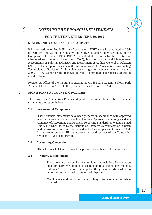

*NOTES TO THE FINANCIAL STATEMENTS*

### **FOR THE YEAR ENDED JUNE 30, 2010**

#### **1. STATUS AND NATURE OF THE COMPANY**

Pakistan Institute of Public Finance Accountants (PIPFA) was incorporated on 28th of October, 1993 as public company limited by Guarantee under section 42 of the Companies Ordinance, 1984. PIPFA was established jointly by the Institute of Chartered Accountants of Pakistan (ICAP), Institute of Cost and Management Accountants of Pakistan (ICMAP) and Department of Auditor General of Pakistan (AGP). At the inception the name of the institution was 'The Association of Accounting Technicians of Pakistan' (AAT) which was changed to the present name in August 2000. PIPFA is a non-profit organization wholly committed to accounting education and development.

Registered Office of the Institute is situated at M1 & M2, Mezzanine Floor, Park Avenue, Block-6, 24-A, P.E.C.H.S., Shahra-e-Faisal, Karachi – 75400.

#### **2. SIGNIFICANT ACCOUNTING POLICIES**

The Significant Accounting Policies adopted in the preparation of these financial statements are set out below:

#### **2.1 Statement of Compliance**

These financial statements have been prepared in accordance with approved accounting standards as applicable in Pakistan. Approved accounting standards comprise of Accounting and Financial Reporting Standard for Medium-Sized Entities (MSEs) issued by the Institute of Chartered Accountants of Pakistan and provisions of and directives issued under the Companies Ordinance 1984. In case requirements differ, the provisions or directives of the Companies Ordinance 1984 shall prevail.

#### **2.2 Accounting Convention**

These Financial Statements have been prepared under historical cost convention.

#### **2.3 Property & Equipment**

- These are stated at cost less accumulated depreciation. Depreciation on all property & equipment is charged on reducing balance method. Full year's depreciation is charged in the year of addition while no depreciation is charged in the year of disposal.
- Maintenance and normal repairs are charged to income as and when incurred.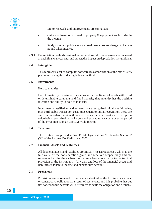- Major renewals and improvements are capitalized.
- Gains and losses on disposal of property & equipment are included in the income.
- Study materials, publications and stationery costs are charged to income as and when incurred.
- **2.3.1** Depreciation methods, residual values and useful lives of assets are reviewed at each financial year end, and adjusted if impact on depreciation is significant.

#### **2.4 Intangible**

**Annual Report 2010**

> This represents cost of computer software less amortization at the rate of 33% per annum using the reducing balance method.

#### **2.5 Investments**

#### Held to maturity

Held to maturity investments are non-derivative financial assets with fixed or determinable payments and fixed maturity that an entity has the positive intention and ability to hold to maturity.

Investments classified as held to maturity are recognized initially at fair value, plus attributable transaction cost. Subsequent to initial recognition, these are stated at amortized cost with any difference between cost and redemption value being recognized in the income and expenditure account over the period of the investments on an effective yield method.

#### **2.6 Taxation**

The Institute is approved as Non Profit Organization (NPO) under Section 2 (36) of the Income Tax Ordinance, 2001.

#### **2.7 Financial Assets and Liabilities**

All financial assets and liabilities are initially measured at cost, which is the fair value of the consideration given and received respectively and are recognized at the time when the institute becomes a party to contractual provision of the instrument. Any gain and loss of the financial assets and liabilities is taken to income and expenditure account.

#### **2.8 Provisions**

Provisions are recognized in the balance sheet when the Institute has a legal or constructive obligation as a result of past events and it is probable that out flow of economic benefits will be required to settle the obligation and a reliable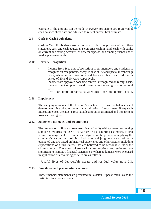estimate of the amount can be made. However, provisions are reviewed at each balance sheet date and adjusted to reflect current best estimate.

#### **2.9 Cash & Cash Equivalents**

Cash & Cash Equivalents are carried at cost. For the purpose of cash flow statement, cash and cash equivalents comprise cash in hand, cash with banks on current and saving accounts, short term deposits and running finance under mark-up arrangements.

#### **2.10 Revenue Recognition**

- Income from fees and subscriptions from members and students is recognizd on receipt basis, except in case of life and special membership cases, where subscription received from members is spread over a period of 20 and 10 years respectively.
- Income from approved coaching centers is recognized on receipt basis.
- Income from Computer Based Examinations is recognized on accrual basis.
- Profit on bank deposits is accounted for on accrual basis.

#### **2.11 Impairment**

The carrying amounts of the Institute's assets are reviewed at balance sheet date to determine whether there is any indication of impairment, if any such indication exists, the asset's recoverable amount is estimated and impairment losses are recognized.

#### **2.12 Judgment, estimates and assumptions**

The preparation of financial statements in conformity with approved accounting standards requires the use of certain critical accounting estimates. It also requires management to exercise its judgment in the process of applying the company's accounting policies. Estimates and judgment are continually evaluated and are based on historical experience and other factors, including expectations of future events that are believed to be reasonable under the circumstances. The areas where various assumptions and estimates are significant to Institute's financial statements or where judgments were exercised in application of accounting policies are as follows:

- Useful lives of depreciable assets and residual value note 2.3.

#### **2.13 Functional and presentation currency**

These financial statements are presented in Pakistan Rupees which is also the Institute's functional currency.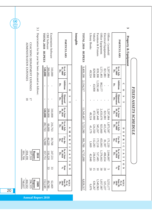| Annual<br>Report<br>2010 |                                                                                                                           |                                                             |                                                                          |            |                     |                                                                                                                       |                                                               |                                       |
|--------------------------|---------------------------------------------------------------------------------------------------------------------------|-------------------------------------------------------------|--------------------------------------------------------------------------|------------|---------------------|-----------------------------------------------------------------------------------------------------------------------|---------------------------------------------------------------|---------------------------------------|
|                          | 3.1<br>Depriciation for the year has been allocated as follows<br>ADMINISTRATION EXPENSES<br>COACHING DEPARTMENT EXPENSES | TOTAL 2010 - RUPEES<br>Examination Software<br>CBE Software | PARTICULARS                                                              | Intangible | TOTAL 2010 - RUPEES | Furniture & Fixtures<br>Office Equipments<br>Offices - Leasehold<br>Library Books<br>Electrical Equipments<br>Vehicle | <b>PARTICULARS</b>                                            | $\bm{\omega}$<br>Property & Equipment |
|                          |                                                                                                                           | 510,000<br>200,000<br>310,000                               | As at July<br>01, 2009<br>Rs.                                            |            | 9,409,190           | 5,297,984<br>571,493<br>821,881<br>839,308<br>829,000<br>49,524                                                       | As at July<br>01, 2009<br>Rs.                                 |                                       |
|                          |                                                                                                                           | ×,<br>п                                                     | <b>Additions</b><br>◠<br>Rs.<br>$\circ$                                  |            | 2,134,217           | ;228,140<br>862,177<br>43,900<br>$\mathbf{I}$                                                                         | <b>Additions</b><br>◠<br>$\mathbf{Rs}$<br>$\circ$             |                                       |
|                          | $\overline{\bf 8}$<br>$\overline{L}$                                                                                      | ı                                                           | Adjustment<br><b>Disposal/</b><br>S<br>Rs.<br>$\blacksquare$             | ı,         | $\mathsf I$         |                                                                                                                       | Adjustment<br><b>Disposal/</b><br>S<br>Rs.<br>$\blacksquare$  |                                       |
|                          |                                                                                                                           | 510,000<br>310,000<br>200,000                               | As at June<br>30, 2010<br>Rs.                                            |            | 11,543,407          | 5,297,984<br>2,433,670<br>2,067,448<br>821,881<br>872,900<br>49,524                                                   | As at June<br>30, 2010<br>Rs.                                 |                                       |
|                          |                                                                                                                           | 282,763<br>216,763<br>66,000                                | As at July<br>01, 2009<br>Rs.<br>$\blacktriangleright$<br>$\blacksquare$ |            | 3,723,390           | 1,873,587<br>923,660<br>415,347<br>345,267<br>124,350<br>41,179                                                       | As at July<br>01, 2009<br>Rs.<br>$\overline{\mathbf{u}}$<br>国 | FIXED ASSETS SCHEDULE                 |
|                          |                                                                                                                           | 30,768<br>74,988<br>44,220                                  | $\bullet$<br>For the<br>Year<br>Rs.<br>₩<br>۳<br>I                       |            | 001,100             | 453,003<br>172,218<br>171,220<br>112,283<br>81,307<br>1,669                                                           | ᠊ᡆ<br>For the<br>Year<br>Rs.<br>κ<br>⊨<br>◠                   |                                       |
|                          | 001,700<br>297,510<br>694,190<br>Rupees<br>2010                                                                           | 357,751<br>247,531<br>110,220                               | As at June<br>30, 2010<br>Z<br>Rs.<br>⋗<br>H<br>⊨                        |            | 4,715,090           | 2,044,807<br>,376,663<br>496,654<br>236,633<br>517,485<br>42,848                                                      | As at June<br>30, 2010<br>Rs.<br>⋗<br>⊣<br>$\blacksquare$     |                                       |
|                          |                                                                                                                           | 33<br>33                                                    | $\circ$<br>Rate<br>$\frac{6}{9}$<br>Z                                    |            |                     | $\infty$<br>$\infty$<br>$\infty$<br>$\overline{5}$<br>$\overline{0}$<br>$\sigma$                                      | $\circ$<br>Rate<br>$\frac{6}{9}$<br>Z                         |                                       |
|                          | 740,837<br>444,502<br>296,335<br>Rupees<br>2009                                                                           | 152,249<br>89,780<br>62,469                                 | <b>June 30,</b><br>W.D.V.<br>As at<br>2010<br>Rs.                        |            | 6,828,317           | 3,253,177<br>1,057,007<br>1,549,963<br>325,227<br>636,267<br>6,676                                                    | <b>June 30,</b><br>W.D.V.<br>As at<br>2010<br>Rs.             |                                       |

**Annual Report 2010**

20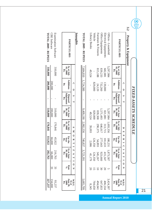**3.2**

**Annual Report 2010**

|                                 |                               |                                     |                                       | FIXED ASSETS SCHEDULE                 |                                         |                                   |                                       |                |                                                     |
|---------------------------------|-------------------------------|-------------------------------------|---------------------------------------|---------------------------------------|-----------------------------------------|-----------------------------------|---------------------------------------|----------------|-----------------------------------------------------|
| <b>Property &amp; Equipment</b> |                               |                                     |                                       |                                       |                                         |                                   |                                       |                |                                                     |
|                                 |                               | ∩<br>$\bullet$                      | S<br>⊣                                |                                       | $\texttt{I}$<br>$\overline{\mathbf{r}}$ | ᠊ᡆ<br>$\approx$<br>Q              | ▶<br>$\overline{a}$                   | $\circ$<br>Z   | W.D.V.                                              |
| <b>PARTICULARS</b>              | As at July<br>01, 2008<br>Rs. | <b>Additions</b><br>$\mathbf{R}$ s. | Adjustment<br><b>Disposal</b><br>Rs.  | As at $J$ une<br>30,2009<br>Rs.       | As at July<br>01, 2008<br>Rs.           | For the<br>Year<br>Rs.            | As at June<br>30, 2009<br>Rs.         | Rate<br>్      | June 30,<br>2009<br>As at<br>$\mathbf{R}$ s.        |
| Offices - Leasehold             | 5,297,984                     |                                     |                                       | 5,297,984                             | 1,693,356                               | 180,23                            | 1,873,587                             | S              | 3,424.397                                           |
| Electrical Equipments           | 682,881                       | 139,000                             |                                       | 821,881                               | 313,715                                 | 101,633                           | 415,347                               | $\infty$       | 406,534                                             |
| Office Equipments               | 839,233                       | 732,260                             |                                       | [,571,493                             | 646,017                                 | 277,643                           | 923,660                               | $\frac{8}{20}$ | 647,833                                             |
| Furniture & Fixtures            | 815,188                       | 24,120                              |                                       | 839,308                               | 290,375                                 | 54,893                            | 345,267                               | $\overline{0}$ | 494,041                                             |
| Vehicle                         |                               | 829,000                             |                                       | 829,000                               |                                         | 24,350                            | 124, 35                               | 51             | 704,650                                             |
| Library Books                   | 49,524                        |                                     |                                       | 49,524                                | 39,093                                  | 2,086                             | 41,179                                | 20             | 8,345                                               |
| TOTAL 2009 - RUPEES             |                               | 7,684,810 1,724,380                 |                                       |                                       | $9,409,190$ 2,982,556                   | 740,837                           | 3,723,391                             |                | 5,685,799                                           |
| <u>Intangible</u>               |                               |                                     |                                       |                                       |                                         |                                   |                                       |                |                                                     |
|                                 |                               | $\Omega$<br>$\mathsf{C}$            | S<br>H                                |                                       | $\blacktriangleright$<br>$\blacksquare$ | $\circ$<br>$\approx$<br>H         | $\blacksquare$<br>⋗<br>$\blacksquare$ | $\circ$<br>Z   | W.D.V.                                              |
| PARTICULARS                     | As at July<br>01, 2008<br>Rs. | <b>Additions</b><br>$\mathbf{R}$ s  | Adjustment<br><b>Disposal/</b><br>Rs. | $\Delta s$ at June<br>30, 2009<br>Rs. | As at July<br>01, 2008<br>Rs.           | For the<br>Year<br>$\mathbf{Rs.}$ | As at June<br>30,2009<br>Rs.          | Rate<br>S%     | <b>June 30,</b><br>As at<br>2009<br>$\mathbf{Rs}$ . |
| Examination Software            | 310,000                       |                                     |                                       | 310,000                               | 170,841                                 | 45,922                            | 216,763                               | 33             | 93,237                                              |

**TOTAL 2009 - RUPEES**

TOTAL 2009 - RUPEES

310,000 - **310,000**

- **200,000** 200,000

---

**510,000** 200,000 310,000

170,841

66,000 45,922 **111,922**

216,763 66,000 **282,763**

 $\frac{33}{3}$ 

134,000<br>**227,237** 

CBE Software

**CBE Software**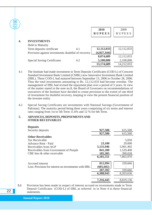| <b>Annual</b><br><b>Report</b> |    |                                                    |     | 2010<br><b>RUPEES</b>    | 2009<br><b>RUPEES</b>   |
|--------------------------------|----|----------------------------------------------------|-----|--------------------------|-------------------------|
|                                | 4. | <b>INVESTMENTS</b><br><b>Held to Maturity</b>      |     |                          |                         |
|                                |    | Term deposits certificate                          | 4.1 | 12,112,033               | 12,112,033              |
|                                |    | Provision against investments doubtful of recovery |     | (4,037,344)<br>8,074,689 | 12,112,033              |
|                                |    | <b>Special Saving Certificates</b>                 | 4.2 | 5,100,000<br>13,174,689  | 2,100,000<br>14,212,033 |
|                                |    |                                                    |     |                          |                         |

- 4.1 The Institute had made investment in Term Deposits Certificates (COD-L) of Crescent Standard Investment Bank Limited (CSIBL) now Innovative Investment Bank Limited (IIBL). These COD-L had matured between September 13, 2006 to October 28, 2006. Thus the total investments amounting to Rs. 12,112,033 had become overdue. The management of IIBL had revised the repayment plan over a period of 5 years. In view of the matter stated in the note no.8, the Board of Governers on recommendations of executives of the Institute have decided to create provision to the extent of one third of investment for doubtful recovery, keeping in view the present financial position of the investee entity.
- 4.2 Special Saving Certificates are investments with National Savings (Government of Pakistan). The maturity period being three years comprising of six terms and interest rates ranging from 1st to 5th Term 11.6% and 12 % for 6th Term.

#### **5. ADVANCES, DEPOSITS, PREPAYMENTS AND OTHER RECEIVABLES**

| <b>Deposits</b>                                       |            |           |
|-------------------------------------------------------|------------|-----------|
| Security deposits                                     | 927,500    | 615,500   |
|                                                       | 927,500    | 615,500   |
| <b>Other Receivables</b>                              |            |           |
| Tax Receivable                                        |            | 5,050     |
| Advance Rent - Paid                                   | 23,100     | 29,000    |
| Receivables from AGP                                  | 5,131,946  | 5,901,492 |
| Receivables from Government of Punjab                 | 841,200    | 1,529,400 |
| CBE fees & other receivable                           | 185,305    | 399,028   |
|                                                       | 6,181,551  | 7,863,970 |
| Accrued interest                                      | 812,994    | 339,666   |
| Less: Provision for interest on investments with IIBL | (605, 602) |           |
|                                                       | 207,392    | 339,666   |
|                                                       | 6,388,943  | 8,203,636 |
|                                                       |            |           |
|                                                       | 7,316,443  | 8,819,136 |
|                                                       |            |           |

**5.1** Provision has been made in respect of interest accrued on investments made in Term Deposit Certificates (COD-L) of IIBL as referred to in Note 4 to these financial statements.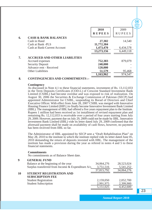|                                            | 2010<br><b>RUPEES</b> | Annua<br><b>Repor</b><br>2010<br>2009<br><b>RUPEES</b> |  |
|--------------------------------------------|-----------------------|--------------------------------------------------------|--|
| <b>CASH &amp; BANK BALANCES</b><br>6.      |                       |                                                        |  |
| Cash in Hand                               | 27,302                | 14,540                                                 |  |
| Cash at Bank -PLS                          | 11,772,384            |                                                        |  |
| <b>Cash at Bank-Current Account</b>        | 1,473,470             | 6,434,578                                              |  |
|                                            | 13,273,156            | 6,449,118                                              |  |
| <b>ACCRUED AND OTHER LIABILITIES</b><br>7. |                       |                                                        |  |
| Accrued expenses                           | 752,383               | 879,079                                                |  |
| <b>Security Deposit</b>                    | 240,000               |                                                        |  |
| Advance rent - Received                    | 120,000               |                                                        |  |
| <b>Other Liabilities</b>                   | 51,579                | 95,468                                                 |  |
|                                            | 1,163,962             | 974,547                                                |  |

#### **8. CONTINGENCIES AND COMMITMENTS :-**

#### **Contingency**

As discussed in Note 4.1 to these financial statements, investment of Rs. 13,112,033 in the Term Deposits Certificates (COD-L) of Crescent Standard Investment Bank Limited (CSIBL) had become overdue and was exposed to risk of realization. On August 30, 2006 the Securities & Exchange Commission of Pakistan (SECP) had appointed Administrator for CSIBL, suspending its Borad of Directors and Chief Executive Officer. With effect from June 28, 2007 CSIBL was merged with Innovative Housing Finance Limited (IHFL) to finally become Innovative Investment Bank Limited (IIBL). The management of IIBL had offered a five years repayment plan to the Institute. Rupees 1 million had been received as 1st installment of revised repayment plan and remaining Rs. 12,112,033 is receivable over a period of four years starting from July 29, 2009. However, payment due on July 29, 2009 could not be made by IIBL. Innovative Investment Bank Limited (IIBL) vide its letter dated July 29, 2009 confirmed that the aforesaid payment shall be made on availability of cash flows, however, no payment has been received from IIBL so far.

The Administrator of IIBL appointed by SECP sent a "Draft Rehabilitation Plan" on May 28, 2010 to the institute to which the institute replied vide its letter dated June 05, 2010 demanding the return of deposits invested with IIBL. The management of the institute has made a provision during the year as refered in notes 4 and 5 to these financial statements.

#### **Commitments**

No commitments as of Balance Sheet date.

#### **9 GENERAL FUND** Balance at the beginning of the year Surplus transferred from Income & Expenditure A/c. **10 STUDENT REGISTRATION AND SUBSCRIPTION FEE** Student Registration Student Subscription 34,064,276 3,751,516 37,815,792 2,159,050 2,991,975 5,151,025 28,523,024 5,541,252 34,064,276 2,052,700 2,399,900 4,452,600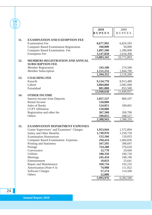| <b>Annual</b><br>Report<br>2010 |     |                                                                   |               |               |
|---------------------------------|-----|-------------------------------------------------------------------|---------------|---------------|
|                                 |     |                                                                   | 2010          | 2009          |
|                                 |     |                                                                   | <b>RUPEES</b> | <b>RUPEES</b> |
|                                 | 11. | <b>EXAMINATION AND EXEMPTION FEE</b>                              |               |               |
|                                 |     | <b>Examination Fee</b>                                            | 8,677,992     | 6,824,593     |
|                                 |     | <b>Computer Based Examination Registration</b>                    | 160,000       | 50,000        |
|                                 |     | <b>Computer Based Examination Fee</b>                             | 1,897,500     | 1,280,000     |
|                                 |     | <b>Exemption Fee</b>                                              | 3,147,850     | 2,618,300     |
|                                 |     |                                                                   | 13,883,342    | 10,772,893    |
|                                 | 12. | <b>MEMBERS REGISTRATION AND ANNUAL</b><br><b>SUBSCRIPTION FEE</b> |               |               |
|                                 |     | <b>Member Registration</b>                                        | 243,100       | 274,500       |
|                                 |     | <b>Member Subscription</b>                                        | 1,151,252     | 1,844,700     |
|                                 |     |                                                                   | 1,394,352     | 2,119,200     |
|                                 | 13. | <b>COACHING FEE</b>                                               |               |               |
|                                 |     | Karachi                                                           | 9,134,770     | 8,913,489     |
|                                 |     | Lahore                                                            | 3,004,860     | 2,082,068     |
|                                 |     | Faisalabad                                                        | 801,000       | 853,500       |
|                                 |     |                                                                   | 12,940,630    | 11,849,057    |
|                                 | 14. | <b>OTHER INCOME</b>                                               |               |               |
|                                 |     | <b>Interest Income from Deposits</b>                              | 1,057,537     | 800,107       |
|                                 |     | <b>Rental Income</b>                                              | 120,000       |               |
|                                 |     | <b>Sales of Books</b>                                             | 124,851       | 189,001       |
|                                 |     | <b>CCPT</b> Affiliation                                           | 120,000       |               |
|                                 |     | Registration and other fee                                        | 367,500       | 200,700       |
|                                 |     | Others                                                            | 599,055       | 398,527       |
|                                 |     |                                                                   | 2,388,943     | 1,588,335     |
|                                 | 15. | <b>EXAMINATION DEPARTMENT EXPENSES</b>                            |               |               |
|                                 |     | Centre Supervisors' and Examiners' Charges                        | 1,953,944     | 1,572,894     |
|                                 |     | Salary and Other Benefits                                         | 1,749,976     | 1,250,728     |
|                                 |     | <b>Examination Honorarium</b>                                     | 152,166       | 120,833       |
|                                 |     | <b>Computer Based Examination Expenses</b>                        | 294,424       | 1,660,836     |
|                                 |     | Printing and Stationery                                           | 347,595       | 398,697       |
|                                 |     | Postage                                                           | 724,288       | 376,629       |
|                                 |     | Conveyance                                                        | 12,770        | 29,669        |
|                                 |     | <b>Utilities</b>                                                  | 180,350       | 180,720       |
|                                 |     | Meetings                                                          | 245,434       | 248,196       |
|                                 |     | Entertainment                                                     | 19,033        | 25,641        |
|                                 |     | Repair and Maintenance                                            | 169,734       | 192,235       |
|                                 |     | Amortization (Note #3)                                            | 74,988        | 111,922       |
|                                 |     | <b>Software Charges</b>                                           | 57,274        | 114,500       |
|                                 |     | Others                                                            | 12,000        |               |
|                                 |     |                                                                   | 5,993,976     | 6,283,500     |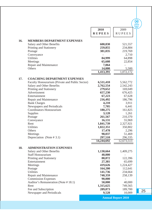|     |                                                 |                        |                           | $\left[\begin{matrix} 0 \\ 1 \end{matrix}\right]$<br><b>Annual</b> |
|-----|-------------------------------------------------|------------------------|---------------------------|--------------------------------------------------------------------|
|     |                                                 | 2010                   | 2009                      | Report<br>2010                                                     |
|     |                                                 | <b>RUPEES</b>          | <b>RUPEES</b>             |                                                                    |
|     |                                                 |                        |                           |                                                                    |
| 16. | <b>MEMBERS DEPARTMENT EXPENSES</b>              |                        |                           |                                                                    |
|     | Salary and Other Benefits                       | 600,830                | 521,557                   |                                                                    |
|     | Printing and Stationery<br>Postage              | 259,855<br>381,035     | 234,884<br>219,769        |                                                                    |
|     | Conveyance                                      |                        | 2,710                     |                                                                    |
|     | <b>Utilities</b>                                | 84,999                 | 64,898                    |                                                                    |
|     | Meetings                                        | 65,608                 | 22,854                    |                                                                    |
|     | Repair and Maintenance                          | 7,064                  |                           |                                                                    |
|     | Others                                          | 14,000                 | 5,500                     |                                                                    |
|     |                                                 | 1,413,391              | $\overline{1,}072,172$    |                                                                    |
| 17. | <b>COACHING DEPARTMENT EXPENSES</b>             |                        |                           |                                                                    |
|     | Faculty Honourarium (Private and Public Sector) | 6,511,410              | 5,562,772                 |                                                                    |
|     | Salary and Other Benefits                       | 2,762,554              | 2,542,243                 |                                                                    |
|     | Printing and Stationery                         | 279,652                | 169,049                   |                                                                    |
|     | Advertisment                                    | 657,230                | 676,425                   |                                                                    |
|     | Entertainment                                   | 67,223                 | 67,628                    |                                                                    |
|     | Repair and Maintenance                          | 216,492                | 186,796                   |                                                                    |
|     | <b>Bank Charges</b>                             | 4,210                  | 3,911                     |                                                                    |
|     | Newspapers and Periodicals                      | 7,705                  | 6,441                     |                                                                    |
|     | Coordinators Honourarium                        | 180,275                | 161,825                   |                                                                    |
|     | Supplies                                        | 3,128                  | 1,261                     |                                                                    |
|     | Postage                                         | 261,567                | 210,370                   |                                                                    |
|     | Conveyance<br>Rent                              | 16,131                 | 55,969                    |                                                                    |
|     | <b>Utilities</b>                                | 1,841,739<br>1,022,351 | 2,327,921<br>350,802      |                                                                    |
|     | Others                                          | 17,478                 | 2,296                     |                                                                    |
|     | Meetings                                        | 98,037                 | 51,469                    |                                                                    |
|     | Depreciation (Note $# 3.1$ )                    | 297,510                | 296,335                   |                                                                    |
|     |                                                 | 14,244,692             | 12,673,513                |                                                                    |
| 18. | <b>ADMINISTRATION EXPENSES</b>                  |                        |                           |                                                                    |
|     | Salary and Other Benefits                       | 1,130,664              | 1,409,275                 |                                                                    |
|     | <b>Staff Honourarium</b>                        | 40,000                 |                           |                                                                    |
|     | Printing and Stationery                         | 88,872                 | 122,396                   |                                                                    |
|     | Entertainment                                   | 27,381                 | 65,699                    |                                                                    |
|     | Meetings                                        | 419,626                | 1,224,427                 |                                                                    |
|     | Postage                                         | 164,200                | 112,641                   |                                                                    |
|     | <b>Utilities</b>                                | 141,736                | 234,664                   |                                                                    |
|     | Repair and Maintenance                          | 740,359                | 258,139                   |                                                                    |
|     | <b>Commission Expenses</b>                      | 90,000                 |                           |                                                                    |
|     | Auditor's Remuneration (Note #18.1)             | 50,000                 | 40,000                    |                                                                    |
|     | Rent                                            | 1,315,625              | 749,565                   |                                                                    |
|     | Fee and Subscription                            | 289,873                | 189,700                   |                                                                    |
|     | Newspaper and Periodicals                       | 9,528                  | 10,009                    |                                                                    |
|     |                                                 |                        | <b>Annual Report 2010</b> |                                                                    |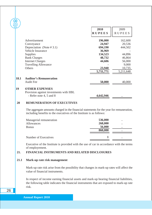| <b>Report</b><br>2010 |                                         | 2010          | 2009          |
|-----------------------|-----------------------------------------|---------------|---------------|
|                       |                                         | <b>RUPEES</b> | <b>RUPEES</b> |
|                       | Advertisement                           | 196,000       | 162,600       |
|                       | Conveyance                              | 24,947        | 20,536        |
|                       | Depreciation (Note $#3.1$ )             | 694,190       | 444,502       |
|                       | <b>Vehicle Insurance</b>                | 36,969        |               |
|                       | <b>Supplies</b>                         | 134,523       | 44,896        |
|                       | <b>Bank Charges</b>                     | 48,732        | 46,864        |
|                       | <b>Internet Charges</b>                 | 44,606        | 56,000        |
|                       | <b>Travelling Allowance</b>             |               | 9,000         |
|                       | Others                                  | 23,940        | 10,735        |
|                       |                                         | 5,711,771     | 5,211,648     |
| 18.1                  | <b>Auditor's Remuneration</b>           |               |               |
|                       | <b>Audit Fee</b>                        | 50,000        | 40,000        |
| 19                    | <b>OTHER EXPENSES</b>                   |               |               |
|                       | Provision against investments with IIBL |               |               |
|                       | - Refer note 4, 5 and 8                 | 4,642,946     |               |

### **20 REMUNERATION OF EXECUTIVES**

The aggregate amounts charged in the financial statements for the year for remuneration, including benefits to the executives of the Institute is as follows:

| Managerial remuneration | 536,000 |  |
|-------------------------|---------|--|
| Allowances              | 268,000 |  |
| <b>Bonus</b>            | 56,000  |  |
|                         | 860,000 |  |
|                         |         |  |
| Number of Executives    |         |  |
|                         |         |  |

Executive of the Institute is provided with the use of car in accordance with the terms of employement.

#### **21. FINANCIAL INSTRUMENTS AND RELATED DISCLOSURES**

#### **21.1 Mark-up rate risk management**

Mark-up rate risk arise from the possibility that changes in mark-up rates will affect the value of financial instruments.

In respect of income earning financial assets and mark-up bearing financial liabilities, the following table indicates the financial instruments that are exposed to mark-up rate risk.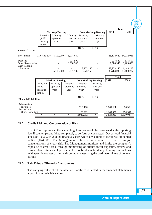|                                         |                        |                          |                |                            |                            |                        | <b>Annual</b><br>Report<br>2010 |
|-----------------------------------------|------------------------|--------------------------|----------------|----------------------------|----------------------------|------------------------|---------------------------------|
|                                         |                        |                          |                |                            |                            |                        | <b>Total</b>                    |
|                                         |                        | <b>Mark-up Bearing</b>   |                |                            | <b>Non Mark-up Bearing</b> | 2010                   | 2009                            |
|                                         | Effective              | Maturity                 | Maturity       | Maturity                   | Maturity                   |                        |                                 |
|                                         | yield/                 | upto one                 | after one      | upto one                   | after one                  |                        |                                 |
|                                         | mark-up                | year                     | year           | year                       | year                       |                        |                                 |
|                                         | rate %                 |                          |                |                            |                            |                        |                                 |
|                                         |                        |                          |                |                            | $-(R \cup P E E S)$ ------ |                        |                                 |
| <b>Financial Assets</b>                 |                        |                          |                |                            |                            |                        |                                 |
| Investments                             | 11.6% to 12% 5,100,000 |                          | 8,074,689      |                            |                            |                        | 13, 174, 689 14, 212, 033       |
| Deposits                                |                        |                          | 927,500        |                            |                            | 927,500                | 615.500                         |
| Other Receivables                       |                        |                          | 6.388.943      |                            |                            | 6.388.943              | 8,203,636                       |
| Cash & Bank<br><b>Balances</b>          |                        |                          |                | 13,273,156                 |                            | 13,273,156             | 6,449,118                       |
|                                         |                        | 5,100,000                | 15,391,132     | 13,273,156                 |                            |                        | 33,764,288 29,480,287           |
|                                         |                        |                          |                |                            |                            |                        |                                 |
|                                         |                        |                          |                |                            |                            | <b>Total</b>           |                                 |
|                                         |                        | <b>Mark-up Bearing</b>   |                | <b>Non Mark-up Bearing</b> |                            | 2010                   | 2009                            |
|                                         | Effective              | Maturity                 | Maturity       | Maturity                   | Maturity                   |                        |                                 |
|                                         | yield/                 | upto one                 | after one      | upto one                   | after one                  |                        |                                 |
|                                         | mark-up                | year                     | year           | year                       | year                       |                        |                                 |
|                                         | rate %                 |                          |                |                            |                            |                        |                                 |
|                                         |                        |                          |                |                            | (R U P E E S)              |                        |                                 |
| <b>Financial Liabilities</b>            |                        |                          |                |                            |                            |                        |                                 |
| Advance from                            |                        |                          |                |                            |                            |                        |                                 |
| customers                               |                        |                          |                | 1,765,100                  |                            | 1,765,100              | 354,500                         |
| Accrued and<br><b>Other Liabilities</b> |                        |                          |                |                            |                            |                        |                                 |
|                                         |                        | $\overline{\phantom{a}}$ | $\overline{a}$ | 1,163,962<br>2,929,062     |                            | 1,163,962<br>2,929,062 | 974,547<br>1,329,047            |
|                                         |                        |                          |                |                            |                            |                        |                                 |

#### **21.2 Credit Risk and Concentration of Risk**

Credit Risk represents the accounting loss that would be recognised at the reporting date if counter parties failed completely to perform as contracted. Out of total financial assets of Rs. 33,764,288 the financial assets which are subject to credit risk amounted to Rs. 8,074,689. The Management believes that it is not exposed to major concentrations of credit risk. The Management monitors and limits the company's exposure of credit risk through monitoring of clients credit exposure, review and conservative estimates of provision for doubtful assets, if any limiting transactions with specific counter parties and continually assessing the credit worthiness of counter parties.

#### **21.3 Fair Value of Financial Instruments**

The carrying value of all the assets  $\&$  liabilities reflected in the financial statements approximate their fair values.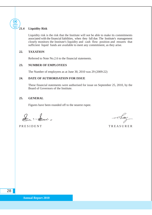#### **21.4 Liquidity Risk**

**Annual Report 2010**

> Liquidity risk is the risk that the Institute will not be able to make its commitments associated with the financial liabilities, when they fall due. The Institute's management closely monitors the Institute's liquidity and cash flow position and ensures that sufficient liquid funds are available to meet any commitment, as they arise.

#### **22. TAXATION**

Referred to Note No.2.6 to the financial statements.

### **23. NUMBER OF EMPLOYEES**

The Number of employees as at June 30, 2010 was 29 (2009:22)

#### **24. DATE OF AUTHORISATION FOR ISSUE**

These financial statements were authorised for issue on September 25, 2010, by the Board of Governors of the Institute.

### **25. GENERAL**

Figures have been rounded off to the nearest rupee.

 $2 - 2 -$ 

PRESIDENT TREASURER

Tam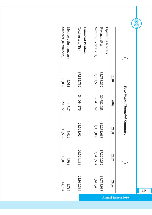|                           |            | Five Years Financial Summary |            |            |            |
|---------------------------|------------|------------------------------|------------|------------|------------|
|                           | 2010       | 2009                         | 2008       | 2007       | 2006       |
| <b>Operating Results</b>  |            |                              |            |            |            |
| Revenue (Rs)              | 35,758,292 | 30,782,085                   | 19,282,063 | 17,220,282 | 16,795,968 |
| Surplus/(Deficit) (Rs)    | 3,751,516  | 5,541,252                    | 1,998,886  | 3,543,504  | 6,617,486  |
| <b>Financial Position</b> |            |                              |            |            |            |
| Total Assets (Rs)         | 37,815,792 | 34,064,276                   | 28,523,024 | 26,524,138 | 22,980,334 |
| Members (in numbers)      | 5,012      | 4,717                        | 4,422      | 4,099      | 3,794      |
| Students (in numbers)     | 22,867     | 20,572                       | 18,517     | 17,053     | 14,754     |

**Annual Report 2010**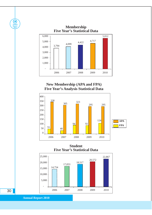

# **New Membership (APA and FPA) Five Year's Analysis Statistical Data**



**Student Five Year's Statistical Data**



**Annual Report 2010**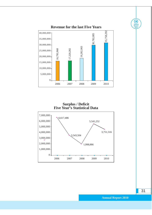

**Surplus / Deficit Five Year's Statistical Data**



31

**Annual Report 2010**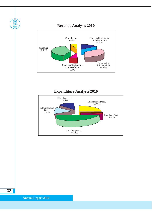

**Expenditure Analysis 2010**

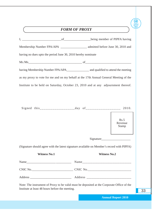|                                                                                            | FORM OF PROXY |                                 |
|--------------------------------------------------------------------------------------------|---------------|---------------------------------|
|                                                                                            |               |                                 |
|                                                                                            |               |                                 |
| having no dues upto the period June 30, 2010 hereby nominate                               |               |                                 |
| Mr.Ms                                                                                      |               |                                 |
|                                                                                            |               |                                 |
| as my proxy to vote for me and on my behalf at the 17th Annual General Meeting of the      |               |                                 |
| Institute to be held on Saturday, October 23, 2010 and at any adjournment thereof.         |               |                                 |
|                                                                                            |               | Rs.5<br>Revenue<br><b>Stamp</b> |
|                                                                                            |               |                                 |
| (Signature should agree with the latest signature available on Member's record with PIPFA) |               |                                 |
| <b>Witness No.1</b>                                                                        |               | <b>Witness No.2</b>             |
|                                                                                            |               |                                 |
|                                                                                            |               |                                 |
|                                                                                            |               |                                 |